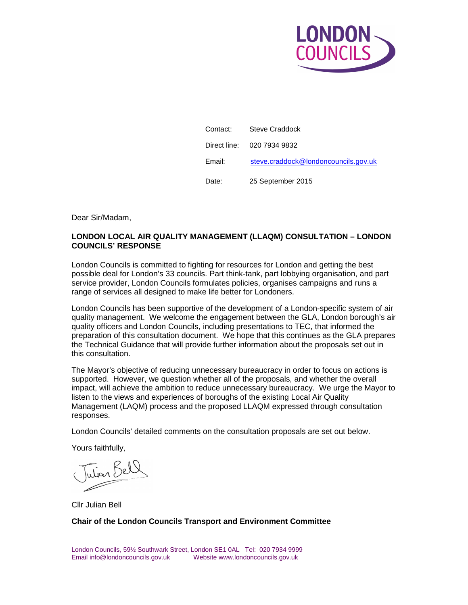

| Contact: . | Steve Craddock                       |
|------------|--------------------------------------|
|            | Direct line: 020 7934 9832           |
| Email:     | steve.craddock@londoncouncils.gov.uk |
| Date:      | 25 September 2015                    |

Dear Sir/Madam,

## **LONDON LOCAL AIR QUALITY MANAGEMENT (LLAQM) CONSULTATION – LONDON COUNCILS' RESPONSE**

London Councils is committed to fighting for resources for London and getting the best possible deal for London's 33 councils. Part think-tank, part lobbying organisation, and part service provider, London Councils formulates policies, organises campaigns and runs a range of services all designed to make life better for Londoners.

London Councils has been supportive of the development of a London-specific system of air quality management. We welcome the engagement between the GLA, London borough's air quality officers and London Councils, including presentations to TEC, that informed the preparation of this consultation document. We hope that this continues as the GLA prepares the Technical Guidance that will provide further information about the proposals set out in this consultation.

The Mayor's objective of reducing unnecessary bureaucracy in order to focus on actions is supported. However, we question whether all of the proposals, and whether the overall impact, will achieve the ambition to reduce unnecessary bureaucracy. We urge the Mayor to listen to the views and experiences of boroughs of the existing Local Air Quality Management (LAQM) process and the proposed LLAQM expressed through consultation responses.

London Councils' detailed comments on the consultation proposals are set out below.

Yours faithfully,

Tution Bels

Cllr Julian Bell

**Chair of the London Councils Transport and Environment Committee**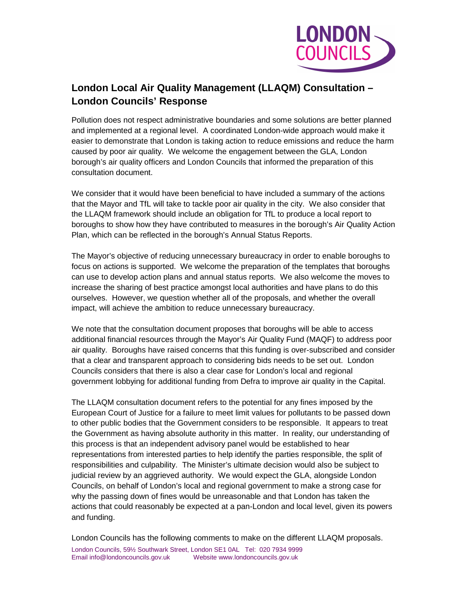

# **London Local Air Quality Management (LLAQM) Consultation – London Councils' Response**

Pollution does not respect administrative boundaries and some solutions are better planned and implemented at a regional level. A coordinated London-wide approach would make it easier to demonstrate that London is taking action to reduce emissions and reduce the harm caused by poor air quality. We welcome the engagement between the GLA, London borough's air quality officers and London Councils that informed the preparation of this consultation document.

We consider that it would have been beneficial to have included a summary of the actions that the Mayor and TfL will take to tackle poor air quality in the city. We also consider that the LLAQM framework should include an obligation for TfL to produce a local report to boroughs to show how they have contributed to measures in the borough's Air Quality Action Plan, which can be reflected in the borough's Annual Status Reports.

The Mayor's objective of reducing unnecessary bureaucracy in order to enable boroughs to focus on actions is supported. We welcome the preparation of the templates that boroughs can use to develop action plans and annual status reports. We also welcome the moves to increase the sharing of best practice amongst local authorities and have plans to do this ourselves. However, we question whether all of the proposals, and whether the overall impact, will achieve the ambition to reduce unnecessary bureaucracy.

We note that the consultation document proposes that boroughs will be able to access additional financial resources through the Mayor's Air Quality Fund (MAQF) to address poor air quality. Boroughs have raised concerns that this funding is over-subscribed and consider that a clear and transparent approach to considering bids needs to be set out. London Councils considers that there is also a clear case for London's local and regional government lobbying for additional funding from Defra to improve air quality in the Capital.

The LLAQM consultation document refers to the potential for any fines imposed by the European Court of Justice for a failure to meet limit values for pollutants to be passed down to other public bodies that the Government considers to be responsible. It appears to treat the Government as having absolute authority in this matter. In reality, our understanding of this process is that an independent advisory panel would be established to hear representations from interested parties to help identify the parties responsible, the split of responsibilities and culpability. The Minister's ultimate decision would also be subject to judicial review by an aggrieved authority. We would expect the GLA, alongside London Councils, on behalf of London's local and regional government to make a strong case for why the passing down of fines would be unreasonable and that London has taken the actions that could reasonably be expected at a pan-London and local level, given its powers and funding.

London Councils has the following comments to make on the different LLAQM proposals.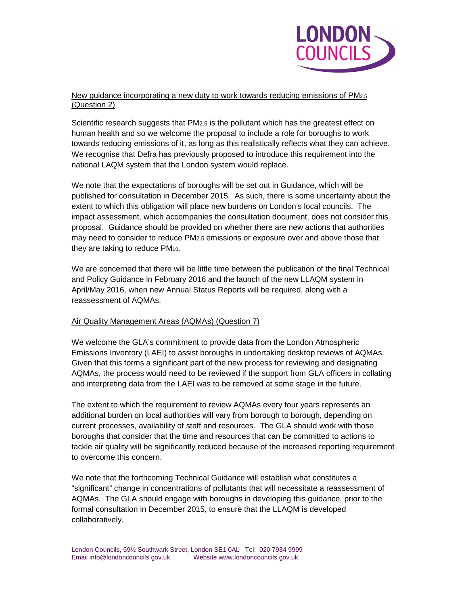

### New guidance incorporating a new duty to work towards reducing emissions of PM2.5 (Question 2)

Scientific research suggests that PM2.5 is the pollutant which has the greatest effect on human health and so we welcome the proposal to include a role for boroughs to work towards reducing emissions of it, as long as this realistically reflects what they can achieve. We recognise that Defra has previously proposed to introduce this requirement into the national LAQM system that the London system would replace.

We note that the expectations of boroughs will be set out in Guidance, which will be published for consultation in December 2015. As such, there is some uncertainty about the extent to which this obligation will place new burdens on London's local councils. The impact assessment, which accompanies the consultation document, does not consider this proposal. Guidance should be provided on whether there are new actions that authorities may need to consider to reduce PM2.5 emissions or exposure over and above those that they are taking to reduce PM<sub>10</sub>.

We are concerned that there will be little time between the publication of the final Technical and Policy Guidance in February 2016 and the launch of the new LLAQM system in April/May 2016, when new Annual Status Reports will be required, along with a reassessment of AQMAs.

## Air Quality Management Areas (AQMAs) (Question 7)

We welcome the GLA's commitment to provide data from the London Atmospheric Emissions Inventory (LAEI) to assist boroughs in undertaking desktop reviews of AQMAs. Given that this forms a significant part of the new process for reviewing and designating AQMAs, the process would need to be reviewed if the support from GLA officers in collating and interpreting data from the LAEI was to be removed at some stage in the future.

The extent to which the requirement to review AQMAs every four years represents an additional burden on local authorities will vary from borough to borough, depending on current processes, availability of staff and resources. The GLA should work with those boroughs that consider that the time and resources that can be committed to actions to tackle air quality will be significantly reduced because of the increased reporting requirement to overcome this concern.

We note that the forthcoming Technical Guidance will establish what constitutes a "significant" change in concentrations of pollutants that will necessitate a reassessment of AQMAs. The GLA should engage with boroughs in developing this guidance, prior to the formal consultation in December 2015, to ensure that the LLAQM is developed collaboratively.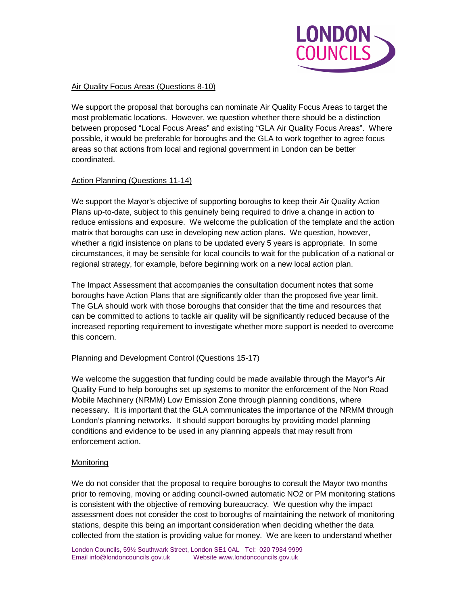

## Air Quality Focus Areas (Questions 8-10)

We support the proposal that boroughs can nominate Air Quality Focus Areas to target the most problematic locations. However, we question whether there should be a distinction between proposed "Local Focus Areas" and existing "GLA Air Quality Focus Areas". Where possible, it would be preferable for boroughs and the GLA to work together to agree focus areas so that actions from local and regional government in London can be better coordinated.

## Action Planning (Questions 11-14)

We support the Mayor's objective of supporting boroughs to keep their Air Quality Action Plans up-to-date, subject to this genuinely being required to drive a change in action to reduce emissions and exposure. We welcome the publication of the template and the action matrix that boroughs can use in developing new action plans. We question, however, whether a rigid insistence on plans to be updated every 5 years is appropriate. In some circumstances, it may be sensible for local councils to wait for the publication of a national or regional strategy, for example, before beginning work on a new local action plan.

The Impact Assessment that accompanies the consultation document notes that some boroughs have Action Plans that are significantly older than the proposed five year limit. The GLA should work with those boroughs that consider that the time and resources that can be committed to actions to tackle air quality will be significantly reduced because of the increased reporting requirement to investigate whether more support is needed to overcome this concern.

## Planning and Development Control (Questions 15-17)

We welcome the suggestion that funding could be made available through the Mayor's Air Quality Fund to help boroughs set up systems to monitor the enforcement of the Non Road Mobile Machinery (NRMM) Low Emission Zone through planning conditions, where necessary. It is important that the GLA communicates the importance of the NRMM through London's planning networks. It should support boroughs by providing model planning conditions and evidence to be used in any planning appeals that may result from enforcement action.

## **Monitoring**

We do not consider that the proposal to require boroughs to consult the Mayor two months prior to removing, moving or adding council-owned automatic NO2 or PM monitoring stations is consistent with the objective of removing bureaucracy. We question why the impact assessment does not consider the cost to boroughs of maintaining the network of monitoring stations, despite this being an important consideration when deciding whether the data collected from the station is providing value for money. We are keen to understand whether